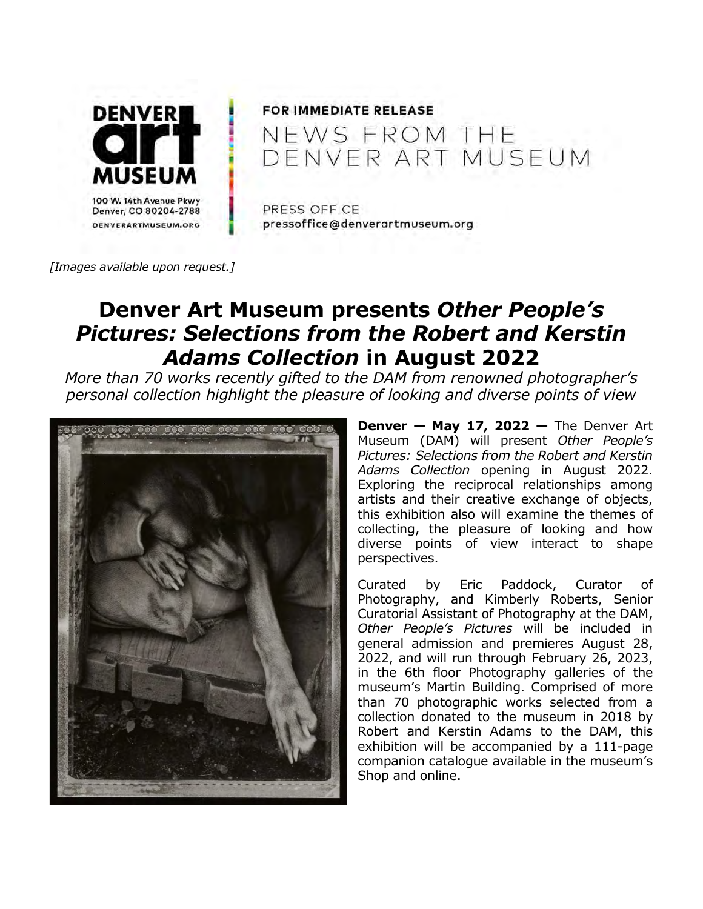

# **FOR IMMEDIATE RELEASE** NEWS FROM THE<br>DENVER ART MUSEUM

PRESS OFFICE pressoffice@denverartmuseum.org

[Images available upon request.]

# Denver Art Museum presents Other People's Pictures: Selections from the Robert and Kerstin Adams Collection in August 2022

More than 70 works recently gifted to the DAM from renowned photographer's personal collection highlight the pleasure of looking and diverse points of view



**Denver – May 17, 2022 –** The Denver Art Museum (DAM) will present Other People's Pictures: Selections from the Robert and Kerstin Adams Collection opening in August 2022. Exploring the reciprocal relationships among artists and their creative exchange of objects, this exhibition also will examine the themes of collecting, the pleasure of looking and how diverse points of view interact to shape perspectives.

Curated by Eric Paddock, Curator of Photography, and Kimberly Roberts, Senior Curatorial Assistant of Photography at the DAM, Other People's Pictures will be included in general admission and premieres August 28, 2022, and will run through February 26, 2023, in the 6th floor Photography galleries of the museum's Martin Building. Comprised of more than 70 photographic works selected from a collection donated to the museum in 2018 by Robert and Kerstin Adams to the DAM, this exhibition will be accompanied by a 111-page companion catalogue available in the museum's Shop and online.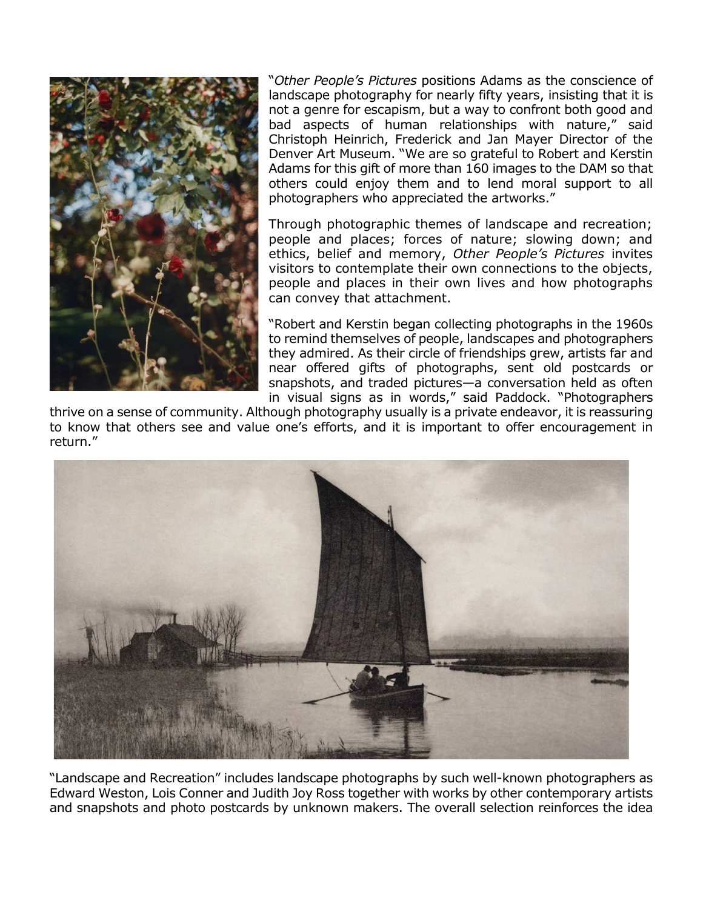

"Other People's Pictures positions Adams as the conscience of landscape photography for nearly fifty years, insisting that it is not a genre for escapism, but a way to confront both good and bad aspects of human relationships with nature," said Christoph Heinrich, Frederick and Jan Mayer Director of the Denver Art Museum. "We are so grateful to Robert and Kerstin Adams for this gift of more than 160 images to the DAM so that others could enjoy them and to lend moral support to all photographers who appreciated the artworks."

Through photographic themes of landscape and recreation; people and places; forces of nature; slowing down; and ethics, belief and memory, Other People's Pictures invites visitors to contemplate their own connections to the objects, people and places in their own lives and how photographs can convey that attachment.

"Robert and Kerstin began collecting photographs in the 1960s to remind themselves of people, landscapes and photographers they admired. As their circle of friendships grew, artists far and near offered gifts of photographs, sent old postcards or snapshots, and traded pictures—a conversation held as often in visual signs as in words," said Paddock. "Photographers

thrive on a sense of community. Although photography usually is a private endeavor, it is reassuring to know that others see and value one's efforts, and it is important to offer encouragement in return."



"Landscape and Recreation" includes landscape photographs by such well-known photographers as Edward Weston, Lois Conner and Judith Joy Ross together with works by other contemporary artists and snapshots and photo postcards by unknown makers. The overall selection reinforces the idea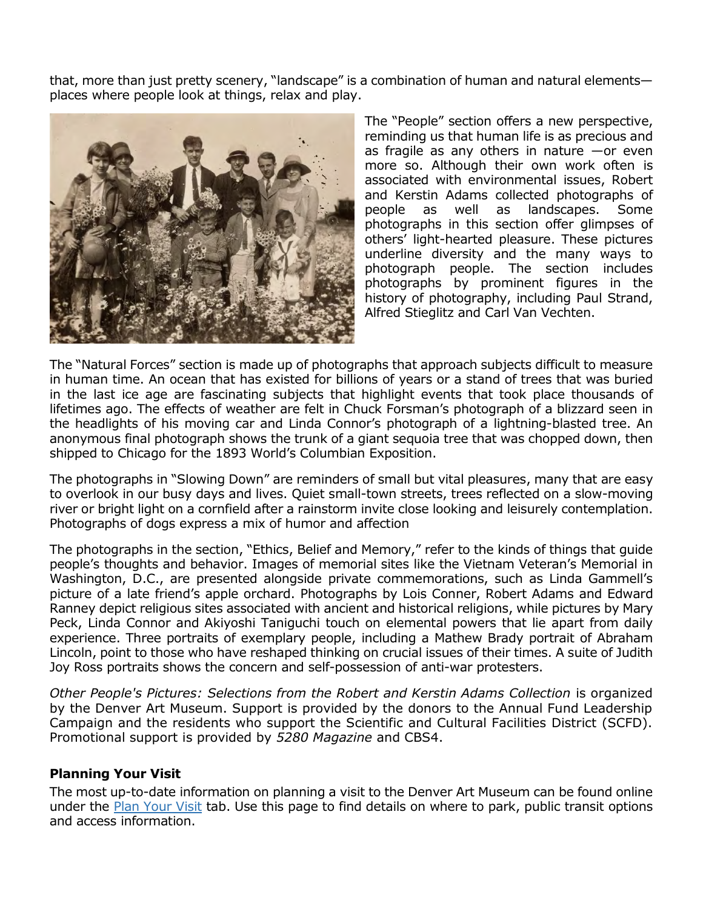that, more than just pretty scenery, "landscape" is a combination of human and natural elements places where people look at things, relax and play.



The "People" section offers a new perspective, reminding us that human life is as precious and as fragile as any others in nature —or even more so. Although their own work often is associated with environmental issues, Robert and Kerstin Adams collected photographs of people as well as landscapes. Some photographs in this section offer glimpses of others' light-hearted pleasure. These pictures underline diversity and the many ways to photograph people. The section includes photographs by prominent figures in the history of photography, including Paul Strand, Alfred Stieglitz and Carl Van Vechten.

The "Natural Forces" section is made up of photographs that approach subjects difficult to measure in human time. An ocean that has existed for billions of years or a stand of trees that was buried in the last ice age are fascinating subjects that highlight events that took place thousands of lifetimes ago. The effects of weather are felt in Chuck Forsman's photograph of a blizzard seen in the headlights of his moving car and Linda Connor's photograph of a lightning-blasted tree. An anonymous final photograph shows the trunk of a giant sequoia tree that was chopped down, then shipped to Chicago for the 1893 World's Columbian Exposition.

The photographs in "Slowing Down" are reminders of small but vital pleasures, many that are easy to overlook in our busy days and lives. Quiet small-town streets, trees reflected on a slow-moving river or bright light on a cornfield after a rainstorm invite close looking and leisurely contemplation. Photographs of dogs express a mix of humor and affection

The photographs in the section, "Ethics, Belief and Memory," refer to the kinds of things that guide people's thoughts and behavior. Images of memorial sites like the Vietnam Veteran's Memorial in Washington, D.C., are presented alongside private commemorations, such as Linda Gammell's picture of a late friend's apple orchard. Photographs by Lois Conner, Robert Adams and Edward Ranney depict religious sites associated with ancient and historical religions, while pictures by Mary Peck, Linda Connor and Akiyoshi Taniguchi touch on elemental powers that lie apart from daily experience. Three portraits of exemplary people, including a Mathew Brady portrait of Abraham Lincoln, point to those who have reshaped thinking on crucial issues of their times. A suite of Judith Joy Ross portraits shows the concern and self-possession of anti-war protesters.

Other People's Pictures: Selections from the Robert and Kerstin Adams Collection is organized by the Denver Art Museum. Support is provided by the donors to the Annual Fund Leadership Campaign and the residents who support the Scientific and Cultural Facilities District (SCFD). Promotional support is provided by 5280 Magazine and CBS4.

# Planning Your Visit

The most up-to-date information on planning a visit to the Denver Art Museum can be found online under the Plan Your Visit tab. Use this page to find details on where to park, public transit options and access information.